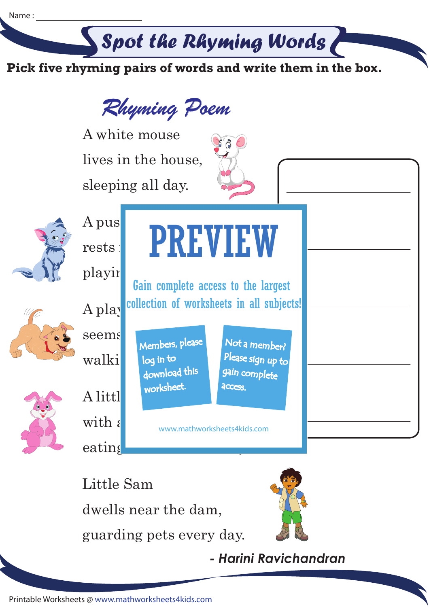## Spot the Rhyming Words

**Pick five rhyming pairs of words and write them in the box.**





Little Sam

dwells near the dam,

guarding pets every day.



*- Harini Ravichandran*

Printable Worksheets @ www.mathworksheets4kids.com